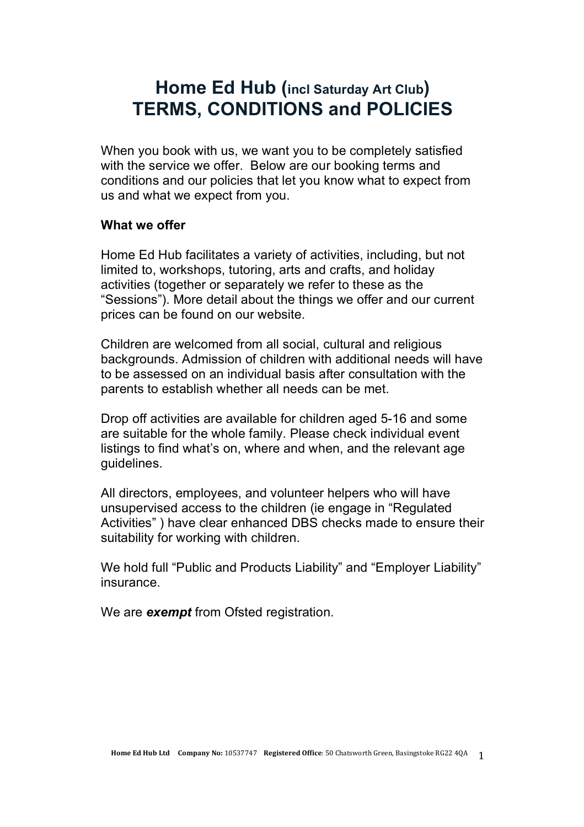# **Home Ed Hub (incl Saturday Art Club) TERMS, CONDITIONS and POLICIES**

When you book with us, we want you to be completely satisfied with the service we offer. Below are our booking terms and conditions and our policies that let you know what to expect from us and what we expect from you.

#### **What we offer**

Home Ed Hub facilitates a variety of activities, including, but not limited to, workshops, tutoring, arts and crafts, and holiday activities (together or separately we refer to these as the "Sessions"). More detail about the things we offer and our current prices can be found on our website.

Children are welcomed from all social, cultural and religious backgrounds. Admission of children with additional needs will have to be assessed on an individual basis after consultation with the parents to establish whether all needs can be met.

Drop off activities are available for children aged 5-16 and some are suitable for the whole family. Please check individual event listings to find what's on, where and when, and the relevant age guidelines.

All directors, employees, and volunteer helpers who will have unsupervised access to the children (ie engage in "Regulated Activities" ) have clear enhanced DBS checks made to ensure their suitability for working with children.

We hold full "Public and Products Liability" and "Employer Liability" insurance.

We are *exempt* from Ofsted registration.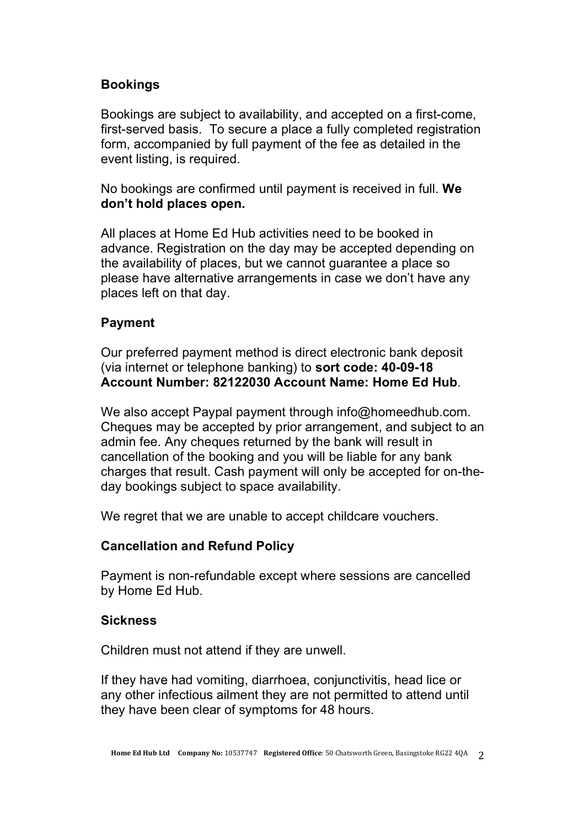# **Bookings**

Bookings are subject to availability, and accepted on a first-come, first-served basis. To secure a place a fully completed registration form, accompanied by full payment of the fee as detailed in the event listing, is required.

No bookings are confirmed until payment is received in full. **We don't hold places open.**

All places at Home Ed Hub activities need to be booked in advance. Registration on the day may be accepted depending on the availability of places, but we cannot guarantee a place so please have alternative arrangements in case we don't have any places left on that day.

## **Payment**

Our preferred payment method is direct electronic bank deposit (via internet or telephone banking) to **sort code: 40-09-18 Account Number: 82122030 Account Name: Home Ed Hub**.

We also accept Paypal payment through info@homeedhub.com. Cheques may be accepted by prior arrangement, and subject to an admin fee. Any cheques returned by the bank will result in cancellation of the booking and you will be liable for any bank charges that result. Cash payment will only be accepted for on-theday bookings subject to space availability.

We regret that we are unable to accept childcare vouchers.

## **Cancellation and Refund Policy**

Payment is non-refundable except where sessions are cancelled by Home Ed Hub.

## **Sickness**

Children must not attend if they are unwell.

If they have had vomiting, diarrhoea, conjunctivitis, head lice or any other infectious ailment they are not permitted to attend until they have been clear of symptoms for 48 hours.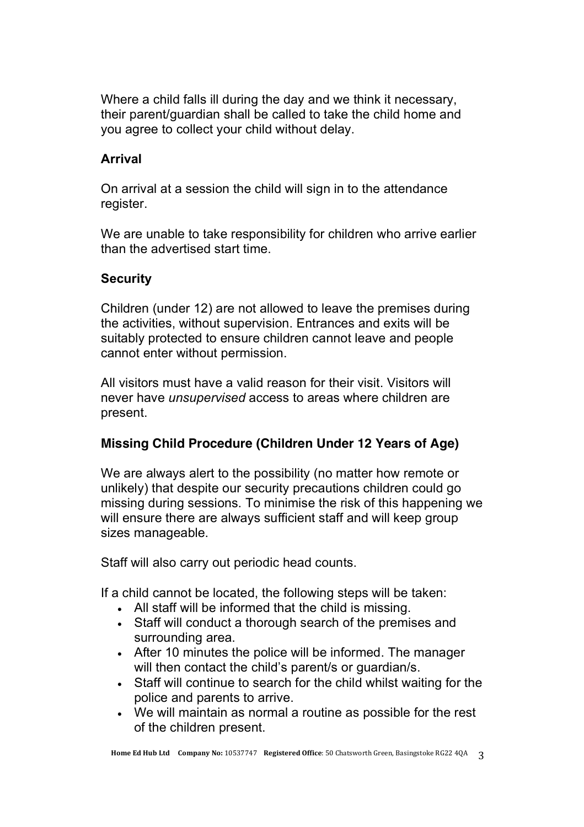Where a child falls ill during the day and we think it necessary, their parent/guardian shall be called to take the child home and you agree to collect your child without delay.

## **Arrival**

On arrival at a session the child will sign in to the attendance register.

We are unable to take responsibility for children who arrive earlier than the advertised start time.

## **Security**

Children (under 12) are not allowed to leave the premises during the activities, without supervision. Entrances and exits will be suitably protected to ensure children cannot leave and people cannot enter without permission.

All visitors must have a valid reason for their visit. Visitors will never have *unsupervised* access to areas where children are present.

# **Missing Child Procedure (Children Under 12 Years of Age)**

We are always alert to the possibility (no matter how remote or unlikely) that despite our security precautions children could go missing during sessions. To minimise the risk of this happening we will ensure there are always sufficient staff and will keep group sizes manageable.

Staff will also carry out periodic head counts.

If a child cannot be located, the following steps will be taken:

- All staff will be informed that the child is missing.
- Staff will conduct a thorough search of the premises and surrounding area.
- After 10 minutes the police will be informed. The manager will then contact the child's parent/s or quardian/s.
- Staff will continue to search for the child whilst waiting for the police and parents to arrive.
- We will maintain as normal a routine as possible for the rest of the children present.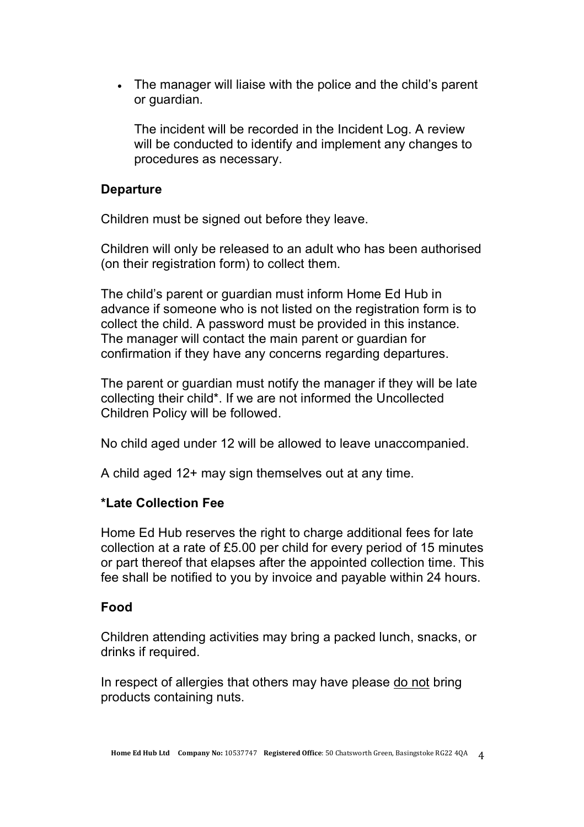• The manager will liaise with the police and the child's parent or guardian.

The incident will be recorded in the Incident Log. A review will be conducted to identify and implement any changes to procedures as necessary.

#### **Departure**

Children must be signed out before they leave.

Children will only be released to an adult who has been authorised (on their registration form) to collect them.

The child's parent or guardian must inform Home Ed Hub in advance if someone who is not listed on the registration form is to collect the child. A password must be provided in this instance. The manager will contact the main parent or guardian for confirmation if they have any concerns regarding departures.

The parent or guardian must notify the manager if they will be late collecting their child\*. If we are not informed the Uncollected Children Policy will be followed.

No child aged under 12 will be allowed to leave unaccompanied.

A child aged 12+ may sign themselves out at any time.

## **\*Late Collection Fee**

Home Ed Hub reserves the right to charge additional fees for late collection at a rate of £5.00 per child for every period of 15 minutes or part thereof that elapses after the appointed collection time. This fee shall be notified to you by invoice and payable within 24 hours.

## **Food**

Children attending activities may bring a packed lunch, snacks, or drinks if required.

In respect of allergies that others may have please do not bring products containing nuts.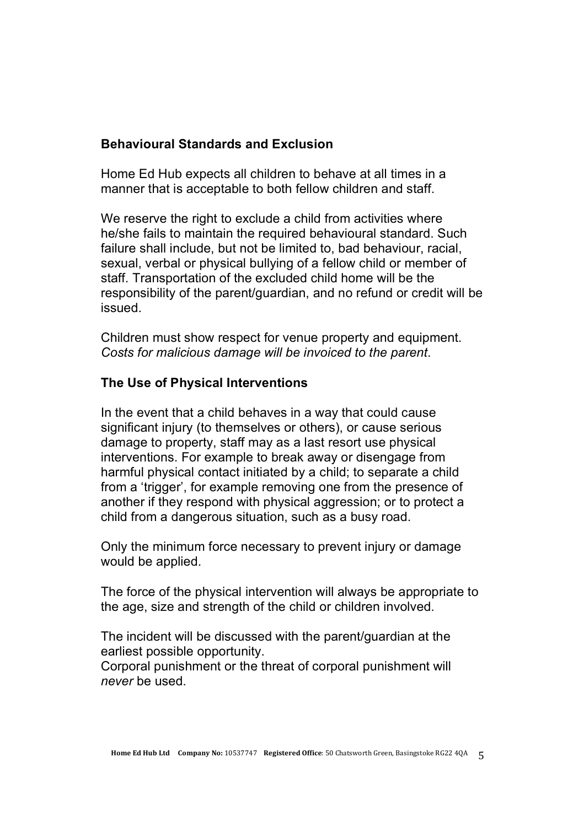## **Behavioural Standards and Exclusion**

Home Ed Hub expects all children to behave at all times in a manner that is acceptable to both fellow children and staff.

We reserve the right to exclude a child from activities where he/she fails to maintain the required behavioural standard. Such failure shall include, but not be limited to, bad behaviour, racial, sexual, verbal or physical bullying of a fellow child or member of staff. Transportation of the excluded child home will be the responsibility of the parent/guardian, and no refund or credit will be issued.

Children must show respect for venue property and equipment. *Costs for malicious damage will be invoiced to the parent*.

## **The Use of Physical Interventions**

In the event that a child behaves in a way that could cause significant injury (to themselves or others), or cause serious damage to property, staff may as a last resort use physical interventions. For example to break away or disengage from harmful physical contact initiated by a child; to separate a child from a 'trigger', for example removing one from the presence of another if they respond with physical aggression; or to protect a child from a dangerous situation, such as a busy road.

Only the minimum force necessary to prevent injury or damage would be applied.

The force of the physical intervention will always be appropriate to the age, size and strength of the child or children involved.

The incident will be discussed with the parent/guardian at the earliest possible opportunity.

Corporal punishment or the threat of corporal punishment will *never* be used.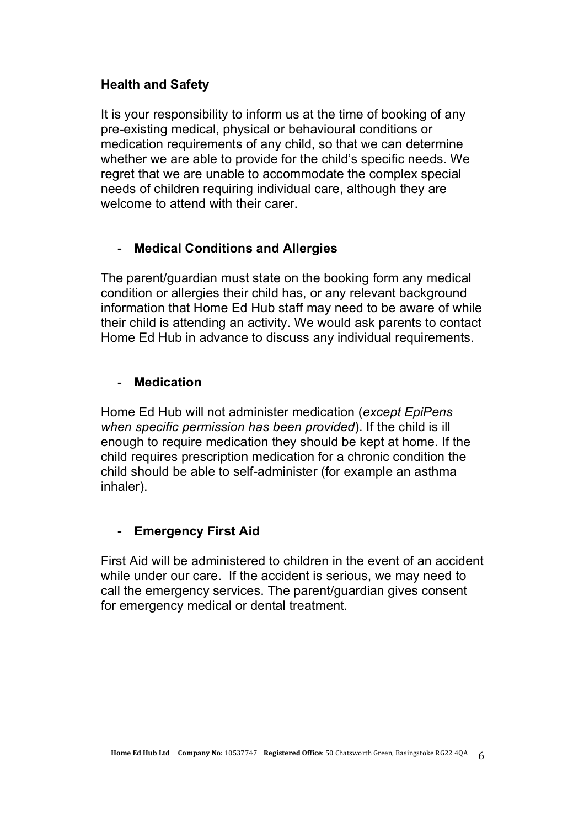## **Health and Safety**

It is your responsibility to inform us at the time of booking of any pre-existing medical, physical or behavioural conditions or medication requirements of any child, so that we can determine whether we are able to provide for the child's specific needs. We regret that we are unable to accommodate the complex special needs of children requiring individual care, although they are welcome to attend with their carer.

## - **Medical Conditions and Allergies**

The parent/guardian must state on the booking form any medical condition or allergies their child has, or any relevant background information that Home Ed Hub staff may need to be aware of while their child is attending an activity. We would ask parents to contact Home Ed Hub in advance to discuss any individual requirements.

## - **Medication**

Home Ed Hub will not administer medication (*except EpiPens when specific permission has been provided*). If the child is ill enough to require medication they should be kept at home. If the child requires prescription medication for a chronic condition the child should be able to self-administer (for example an asthma inhaler).

## - **Emergency First Aid**

First Aid will be administered to children in the event of an accident while under our care. If the accident is serious, we may need to call the emergency services. The parent/guardian gives consent for emergency medical or dental treatment.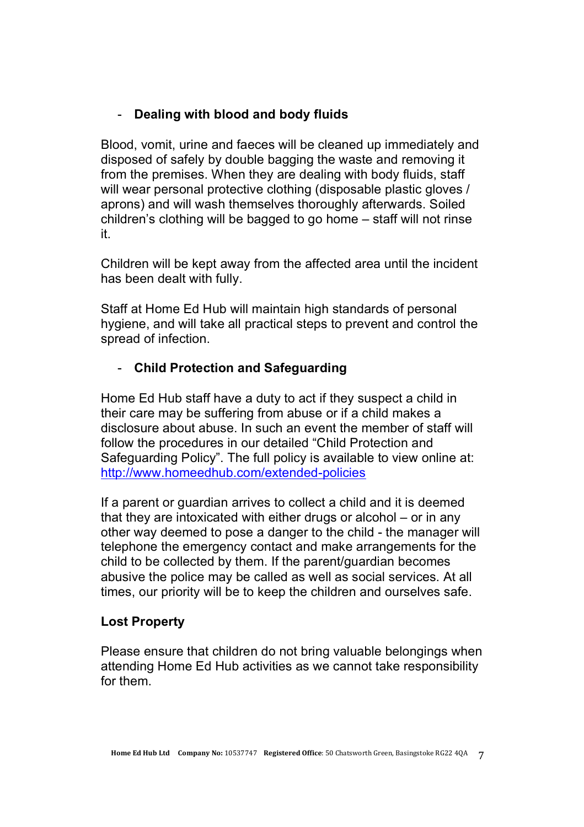# - **Dealing with blood and body fluids**

Blood, vomit, urine and faeces will be cleaned up immediately and disposed of safely by double bagging the waste and removing it from the premises. When they are dealing with body fluids, staff will wear personal protective clothing (disposable plastic gloves / aprons) and will wash themselves thoroughly afterwards. Soiled children's clothing will be bagged to go home – staff will not rinse it.

Children will be kept away from the affected area until the incident has been dealt with fully.

Staff at Home Ed Hub will maintain high standards of personal hygiene, and will take all practical steps to prevent and control the spread of infection.

# - **Child Protection and Safeguarding**

Home Ed Hub staff have a duty to act if they suspect a child in their care may be suffering from abuse or if a child makes a disclosure about abuse. In such an event the member of staff will follow the procedures in our detailed "Child Protection and Safeguarding Policy". The full policy is available to view online at: http://www.homeedhub.com/extended-policies

If a parent or guardian arrives to collect a child and it is deemed that they are intoxicated with either drugs or alcohol – or in any other way deemed to pose a danger to the child - the manager will telephone the emergency contact and make arrangements for the child to be collected by them. If the parent/guardian becomes abusive the police may be called as well as social services. At all times, our priority will be to keep the children and ourselves safe.

# **Lost Property**

Please ensure that children do not bring valuable belongings when attending Home Ed Hub activities as we cannot take responsibility for them.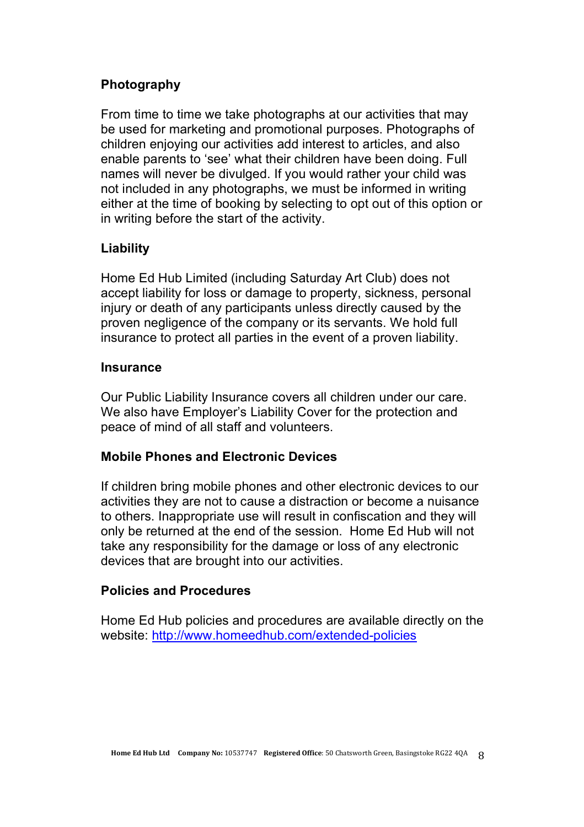# **Photography**

From time to time we take photographs at our activities that may be used for marketing and promotional purposes. Photographs of children enjoying our activities add interest to articles, and also enable parents to 'see' what their children have been doing. Full names will never be divulged. If you would rather your child was not included in any photographs, we must be informed in writing either at the time of booking by selecting to opt out of this option or in writing before the start of the activity.

## **Liability**

Home Ed Hub Limited (including Saturday Art Club) does not accept liability for loss or damage to property, sickness, personal injury or death of any participants unless directly caused by the proven negligence of the company or its servants. We hold full insurance to protect all parties in the event of a proven liability.

#### **Insurance**

Our Public Liability Insurance covers all children under our care. We also have Employer's Liability Cover for the protection and peace of mind of all staff and volunteers.

## **Mobile Phones and Electronic Devices**

If children bring mobile phones and other electronic devices to our activities they are not to cause a distraction or become a nuisance to others. Inappropriate use will result in confiscation and they will only be returned at the end of the session. Home Ed Hub will not take any responsibility for the damage or loss of any electronic devices that are brought into our activities.

## **Policies and Procedures**

Home Ed Hub policies and procedures are available directly on the website: http://www.homeedhub.com/extended-policies